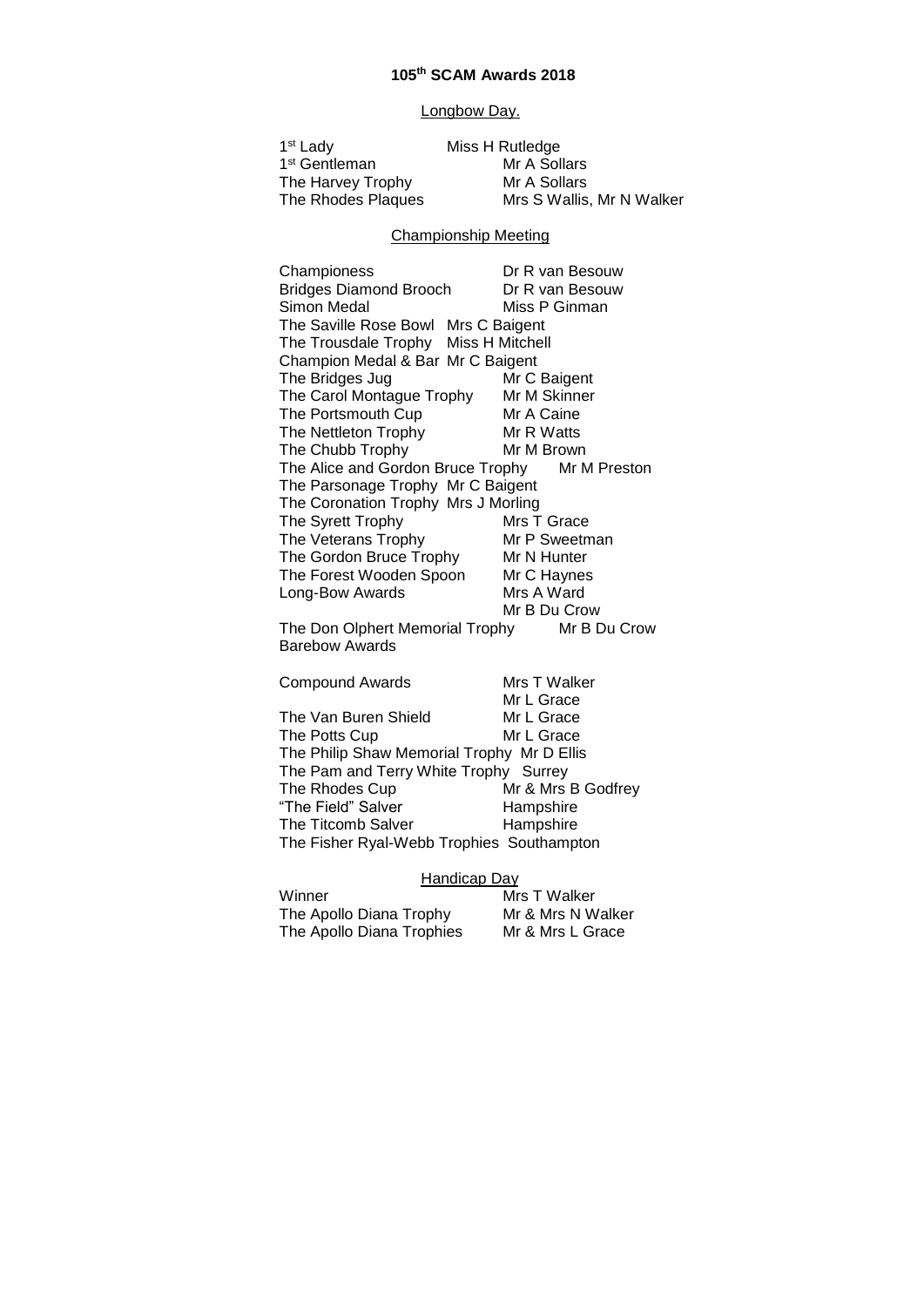## Longbow Day.

1<sup>st</sup> Lady 1<sup>st</sup> Gentleman Mr A Sollars The Harvey Trophy Mr A Sollars<br>
The Rhodes Plaques Mrs S Wallis

Miss H Rutledge<br>Mr A Sollars **Mrs S Wallis, Mr N Walker** 

## Championship Meeting

| Championess                                  | Dr R van Besouw |  |  |  |
|----------------------------------------------|-----------------|--|--|--|
| <b>Bridges Diamond Brooch</b>                | Dr R van Besouw |  |  |  |
| Simon Medal                                  | Miss P Ginman   |  |  |  |
| The Saville Rose Bowl<br>Mrs C Baigent       |                 |  |  |  |
| The Trousdale Trophy                         | Miss H Mitchell |  |  |  |
| Champion Medal & Bar Mr C Baigent            |                 |  |  |  |
| The Bridges Jug                              | Mr C Baigent    |  |  |  |
| The Carol Montague Trophy                    | Mr M Skinner    |  |  |  |
| The Portsmouth Cup                           | Mr A Caine      |  |  |  |
| The Nettleton Trophy                         | Mr R Watts      |  |  |  |
| The Chubb Trophy                             | Mr M Brown      |  |  |  |
| The Alice and Gordon Bruce Trophy            | Mr M Preston    |  |  |  |
| The Parsonage Trophy Mr C Baigent            |                 |  |  |  |
| The Coronation Trophy Mrs J Morling          |                 |  |  |  |
| The Syrett Trophy                            | Mrs T Grace     |  |  |  |
| The Veterans Trophy                          | Mr P Sweetman   |  |  |  |
| The Gordon Bruce Trophy                      | Mr N Hunter     |  |  |  |
| The Forest Wooden Spoon                      | Mr C Haynes     |  |  |  |
| Long-Bow Awards                              | Mrs A Ward      |  |  |  |
|                                              | Mr B Du Crow    |  |  |  |
| The Don Olphert Memorial Trophy Mr B Du Crow |                 |  |  |  |
| <b>Barebow Awards</b>                        |                 |  |  |  |
|                                              |                 |  |  |  |
| <b>Compound Awards</b>                       | Mrs T Walker    |  |  |  |
|                                              | $MrL$ Croco     |  |  |  |

|                                            | Mr L Grace         |  |  |
|--------------------------------------------|--------------------|--|--|
| The Van Buren Shield                       | Mr L Grace         |  |  |
| The Potts Cup                              | Mr L Grace         |  |  |
| The Philip Shaw Memorial Trophy Mr D Ellis |                    |  |  |
| The Pam and Terry White Trophy Surrey      |                    |  |  |
| The Rhodes Cup                             | Mr & Mrs B Godfrey |  |  |
| "The Field" Salver                         | Hampshire          |  |  |
| The Titcomb Salver                         | Hampshire          |  |  |
| The Fisher Ryal-Webb Trophies Southampton  |                    |  |  |

## Handicap Day

Winner<br>The Apollo Diana Trophy Mrs T Walker<br>Mr & Mrs N Walker The Apollo Diana Trophy Mr & Mrs N Walker The Apollo Diana Trophies Mr & Mrs L Grace